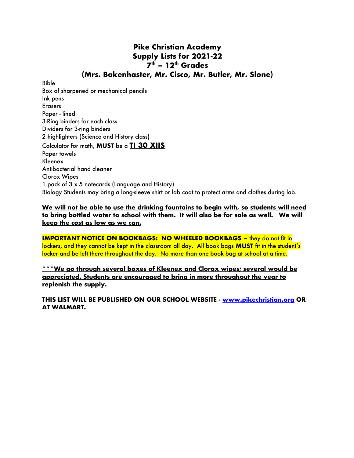## **Pike Christian Academy Supply Lists for 2021-22**  $7<sup>th</sup>$  **–** 12<sup>th</sup> Grades **(Mrs. Bakenhaster, Mr. Cisco, Mr. Butler, Mr. Slone)**

Bible Box of sharpened or mechanical pencils Ink pens Erasers Paper - lined 3-Ring binders for each class Dividers for 3-ring binders 2 highlighters (Science and History class) Calculator for math, **MUST** be a **TI 30 XIIS** Paper towels Kleenex Antibacterial hand cleaner Clorox Wipes 1 pack of 3 x 5 notecards (Language and History) Biology Students may bring a long-sleeve shirt or lab coat to protect arms and clothes during lab.

## **We will not be able to use the drinking fountains to begin with, so students will need to bring bottled water to school with them. It will also be for sale as well. We will keep the cost as low as we can.**

**IMPORTANT NOTICE ON BOOKBAGS: NO WHEELED BOOKBAGS –** they do not fit in lockers, and they cannot be kept in the classroom all day. All book bags **MUST** fit in the student's locker and be left there throughout the day. No more than one book bag at school at a time.

**\*\*\*We go through several boxes of Kleenex and Clorox wipes; several would be appreciated. Students are encouraged to bring in more throughout the year to replenish the supply.**

**THIS LIST WILL BE PUBLISHED ON OUR SCHOOL WEBSITE - www.pikechristian.org OR AT WALMART.**